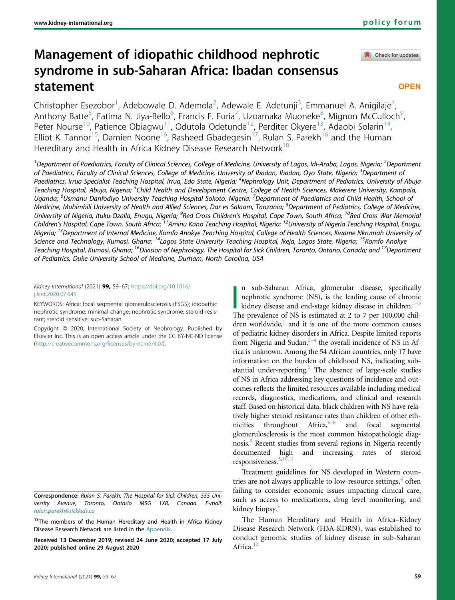Check for updates

# Management of idiopathic childhood nephrotic syndrome in sub-Saharan Africa: Ibadan consensus statement

**OPEN** 

Christopher Esezobor<sup>[1](#page-0-0)</sup>, Adebowale D. Ademola<sup>[2](#page-0-0)</sup>, Adewale E. Adetunji<sup>[3](#page-0-1)</sup>, Emmanuel A. Anigilaje<sup>[4](#page-0-2)</sup> , Anthony Batte<sup>[5](#page-0-3)</sup>, Fatima N. Jiya-Bello<sup>[6](#page-0-4)</sup>, Francis F. Furia<sup>[7](#page-0-4)</sup>, Uzoamaka Muoneke<sup>[8](#page-0-5)</sup>, Mignon McCulloch<sup>9</sup> , Peter Nourse<sup>[10](#page-0-6)</sup>, Patience Obiagwu<sup>11</sup>, Odutola Odetunde<sup>12</sup>, Perditer Okyere<sup>13</sup>, Adaobi Solarin<sup>14</sup>, Elliot K. Tannor<sup>15</sup>, Damien Noone<sup>16</sup>, Rasheed Gbadegesin<sup>17</sup>, Rulan S. Parekh<sup>16</sup> and the Human Hereditary and Health in Africa Kidney Disease Research Network<sup>[18](#page-0-11)</sup>

<span id="page-0-7"></span><span id="page-0-6"></span><span id="page-0-5"></span><span id="page-0-4"></span><span id="page-0-3"></span><span id="page-0-2"></span><span id="page-0-1"></span><span id="page-0-0"></span> $^1$ Department of Paediatrics, Faculty of Clinical Sciences, College of Medicine, University of Lagos, Idi-Araba, Lagos, Nigeria; <sup>2</sup>Department of Paediatrics, Faculty of Clinical Sciences, College of Medicine, University of Ibadan, Ibadan, Oyo State, Nigeria; <sup>3</sup>Department of Paediatrics, Irrua Specialist Teaching Hospital, Irrua, Edo State, Nigeria; <sup>4</sup>Nephrology Unit, Department of Pediatrics, University of Abuja Teaching Hospital, Abuja, Nigeria; <sup>5</sup>Child Health and Development Centre, College of Health Sciences, Makerere University, Kampala, Uganda; <sup>6</sup>Usmanu Danfodiyo University Teaching Hospital Sokoto, Nigeria; <sup>7</sup>Department of Paediatrics and Child Health, School of Medicine, Muhimbili University of Health and Allied Sciences, Dar es Salaam, Tanzania; <sup>8</sup>Department of Pediatrics, College of Medicine, University of Nigeria, Ituku-Ozalla, Enugu, Nigeria; <sup>9</sup>Red Cross Children's Hospital, Cape Town, South Africa; <sup>10</sup>Red Cross War Memorial Children's Hospital, Cape Town, South Africa; 11Aminu Kano Teaching Hospital, Nigeria; 12University of Nigeria Teaching Hospital, Enugu, Nigeria; <sup>13</sup>Department of Internal Medicine, Komfo Anokye Teaching Hospital, College of Health Sciences, Kwame Nkrumah University of Science and Technology, Kumasi, Ghana; <sup>14</sup>Lagos State University Teaching Hospital, Ikeja, Lagos State, Nigeria; <sup>15</sup>Komfo Anokye Teaching Hospital, Kumasi, Ghana; <sup>16</sup>Division of Nephrology, The Hospital for Sick Children, Toronto, Ontario, Canada; and <sup>17</sup>Department of Pediatrics, Duke University School of Medicine, Durham, North Carolina, USA

<span id="page-0-10"></span><span id="page-0-9"></span><span id="page-0-8"></span>Kidney International (2021) 99, 59–67; [https://doi.org/10.1016/](https://doi.org/10.1016/j.kint.2020.07.045) [j.kint.2020.07.045](https://doi.org/10.1016/j.kint.2020.07.045)

KEYWORDS: Africa; focal segmental glomerulosclerosis (FSGS); idiopathic nephrotic syndrome; minimal change; nephrotic syndrome; steroid resistant; steroid sensitive; sub-Saharan

Copyright © 2020, International Society of Nephrology. Published by Elsevier Inc. This is an open access article under the CC BY-NC-ND license ([http://creativecommons.org/licenses/by-nc-nd/4.0/\)](http://creativecommons.org/licenses/by-nc-nd/4.0/).

Correspondence: Rulan S. Parekh, The Hospital for Sick Children, 555 University Avenue, Toronto, Ontario M5G 1X8, Canada. E-mail: [rulan.parekh@sickkids.ca](mailto:rulan.parekh@sickkids.ca)

<span id="page-0-11"></span><sup>18</sup>The members of the Human Hereditary and Health in Africa Kidney Disease Research Network are listed in the [Appendix](#page-7-0).

Received 13 December 2019; revised 24 June 2020; accepted 17 July 2020; published online 29 August 2020

n sub-Saharan Africa, glomerular disease, specifically<br>nephrotic syndrome (NS), is the leading cause of chronic<br>kidney disease and end-stage kidney disease in children.<sup>[1](#page-8-0)–3</sup><br>The prevalence of NS is estimated at 2 to 7 per n sub-Saharan Africa, glomerular disease, specifically nephrotic syndrome (NS), is the leading cause of chronic The prevalence of NS is estimated at 2 to 7 per 100,000 children worldwide, $\frac{1}{x}$  and it is one of the more common causes of pediatric kidney disor[der](#page-8-1)s in Africa. Despite limited reports from Nigeria and Sudan, $2-4$  the overall incidence of NS in Africa is unknown. Among the 54 African countries, only 17 have information on the burden of childhood NS, indicating sub-stantial under-reporting.<sup>[5](#page-8-2)</sup> The absence of large-scale studies of NS in Africa addressing key questions of incidence and outcomes reflects the limited resources available including medical records, diagnostics, medications, and clinical and research staff. Based on historical data, black children with NS have relatively higher steroid resistance rates than children of other ethnicities throughout Africa, $6-8$  and focal segmental glomerulosclerosis is the most common histopathologic diagnosis.<sup>9</sup> Recent studies from several regions in Nigeria recently documented high and increasing rates of steroid responsiveness.<sup>5,[10](#page-8-5)[,11](#page-8-6)</sup>

Treatment guidelines for NS developed in Western countries are not always applicable to low-resource settings, $4$  often failing to consider economic issues impacting clinical care, such as access to medications, drug level monitoring, and kidney biopsy.<sup>[5](#page-8-2)</sup>

The Human Hereditary and Health in Africa–Kidney Disease Research Network (H3A-KDRN), was established to conduct genomic studies of kidney disease in sub-Saharan Africa.<sup>[12](#page-8-8)</sup>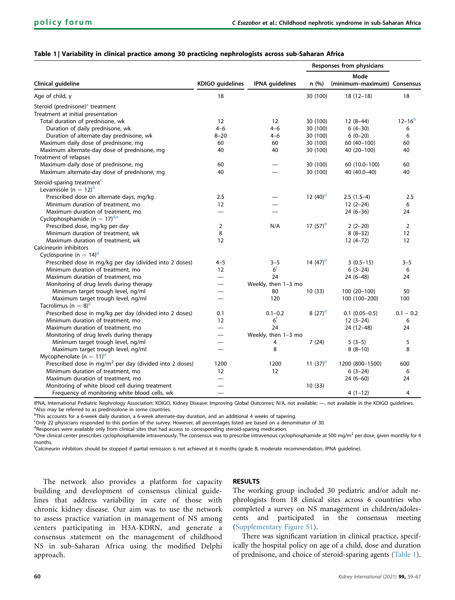<span id="page-1-0"></span>

|  |  |  |  |  |  |  |  |  |  | Table 1   Variability in clinical practice among 30 practicing nephrologists across sub-Saharan Africa |  |
|--|--|--|--|--|--|--|--|--|--|--------------------------------------------------------------------------------------------------------|--|
|--|--|--|--|--|--|--|--|--|--|--------------------------------------------------------------------------------------------------------|--|

|                                                                     |                          |                        |             | Responses from physicians   |                |
|---------------------------------------------------------------------|--------------------------|------------------------|-------------|-----------------------------|----------------|
|                                                                     |                          |                        |             | Mode                        |                |
| Clinical guideline                                                  | <b>KDIGO</b> guidelines  | <b>IPNA</b> guidelines | n (%)       | (minimum-maximum) Consensus |                |
| Age of child, y                                                     | 18                       |                        | 30 (100)    | $18(12-18)$                 | 18             |
| Steroid (prednisone) <sup>a</sup> treatment                         |                          |                        |             |                             |                |
| Treatment at initial presentation                                   |                          |                        |             |                             |                |
| Total duration of prednisone, wk                                    | $12 \overline{ }$        | 12                     | 30 (100)    | $12(8-44)$                  | $12 - 16^{b}$  |
| Duration of daily prednisone, wk                                    | $4 - 6$                  | $4 - 6$                | 30 (100)    | $6(4-30)$                   | 6              |
| Duration of alternate-day prednisone, wk                            | $8 - 20$                 | $4 - 6$                | 30 (100)    | $6(0-20)$                   | 6              |
| Maximum daily dose of prednisone, mg                                | 60                       | 60                     | 30 (100)    | 60 (40-100)                 | 60             |
| Maximum alternate-day dose of prednisone, mg                        | 40                       | 40                     | 30 (100)    | 40 (20-100)                 | 40             |
| Treatment of relapses                                               |                          |                        |             |                             |                |
| Maximum daily dose of prednisone, mg                                | 60                       |                        | 30 (100)    | 60 (10.0-100)               | 60             |
| Maximum alternate-day dose of prednisone, mg                        | 40                       |                        | 30 (100)    | 40 (40.0-40)                | 40             |
|                                                                     |                          |                        |             |                             |                |
| Steroid-sparing treatment <sup>c</sup>                              |                          |                        |             |                             |                |
| Levamisole (n = $12$ ) <sup>d</sup>                                 |                          |                        |             |                             |                |
| Prescribed dose on alternate days, mg/kg                            | 2.5                      |                        | 12 $(40)^d$ | $2.5(1.5-4)$                | 2.5            |
| Minimum duration of treatment, mo                                   | 12                       |                        |             | $12(2-24)$                  | 6              |
| Maximum duration of treatment, mo                                   | $\overline{\phantom{0}}$ |                        |             | $24(6-36)$                  | 24             |
| Cyclophosphamide (n = $17)^{d,e}$                                   |                          |                        |             |                             |                |
| Prescribed dose, mg/kg per day                                      | $\overline{2}$           | N/A                    | 17 $(57)^d$ | $2(2-20)$                   | $\overline{2}$ |
| Minimum duration of treatment, wk                                   | 8                        |                        |             | $8(8-32)$                   | 12             |
| Maximum duration of treatment, wk                                   | 12                       |                        |             | $12(4-72)$                  | 12             |
| Calcineurin inhibitors                                              |                          |                        |             |                             |                |
| Cyclosporine (n = $14$ ) <sup>d</sup>                               |                          |                        |             |                             |                |
| Prescribed dose in mg/kg per day (divided into 2 doses)             | $4 - 5$                  | $3 - 5$                | 14 $(47)^d$ | $3(0.5-15)$                 | $3 - 5$        |
| Minimum duration of treatment, mo                                   | 12                       | 6 <sup>f</sup>         |             | $6(3-24)$                   | 6              |
| Maximum duration of treatment, mo                                   |                          | 24                     |             | $24(6-48)$                  | 24             |
| Monitoring of drug levels during therapy                            |                          | Weekly, then 1-3 mo    |             |                             |                |
| Minimum target trough level, ng/ml                                  |                          | 80                     | 10(33)      | $100(20-100)$               | 50             |
| Maximum target trough level, ng/ml                                  |                          | 120                    |             | 100 (100-200)               | 100            |
| Tacrolimus (n = $8$ ) <sup>d</sup>                                  |                          |                        |             |                             |                |
| Prescribed dose in mg/kg per day (divided into 2 doses)             | 0.1                      | $0.1 - 0.2$            | 8 $(27)^d$  | $0.1$ (0.05-0.5)            | $0.1 - 0.2$    |
| Minimum duration of treatment, mo                                   | 12                       | 6 <sup>f</sup>         |             | $12(3-24)$                  | 6              |
| Maximum duration of treatment, mo                                   | $\overline{\phantom{0}}$ | 24                     |             | 24 (12-48)                  | 24             |
| Monitoring of drug levels during therapy                            | $\overline{\phantom{0}}$ | Weekly, then 1-3 mo    |             |                             |                |
| Minimum target trough level, ng/ml                                  |                          | 4                      | 7(24)       | $5(3-5)$                    | 5              |
| Maximum target trough level, ng/ml                                  |                          | 8                      |             | $8(8-10)$                   | 8              |
| Mycophenolate ( $n = 11$ ) <sup>d</sup>                             |                          |                        |             |                             |                |
| Prescribed dose in mg/m <sup>2</sup> per day (divided into 2 doses) | 1200                     | 1200                   | 11 $(37)^d$ | 1200 (800-1500)             | 600            |
| Minimum duration of treatment, mo                                   | 12                       | 12                     |             | $6(3-24)$                   | 6              |
| Maximum duration of treatment, mo                                   |                          |                        |             | $24(6-60)$                  | 24             |
| Monitoring of white blood cell during treatment                     | $\overline{\phantom{0}}$ |                        | 10(33)      |                             |                |
| Frequency of monitoring white blood cells, wk                       |                          |                        |             | $4(1-12)$                   | 4              |

<span id="page-1-1"></span>IPNA, International Pediatric Nephrology Association; KDIGO, Kidney Disease: Improving Global Outcomes; N/A, not available; --, not available in the KDIGO guidelines. <sup>a</sup>Also may be referred to as prednisolone in some countries.

<span id="page-1-2"></span>b This accounts for a 6-week daily duration, a 6-week alternate-day duration, and an additional 4 weeks of tapering.

<span id="page-1-3"></span>c Only 22 physicians responded to this portion of the survey. However, all percentages listed are based on a denominator of 30.

<span id="page-1-4"></span><sup>d</sup>Responses were available only from clinical sites that had access to corresponding steroid-sparing medication.

<span id="page-1-5"></span> $^{\rm e}$ One clinical center prescribes cyclophosphamide intravenously. The consensus was to prescribe intravenous cyclophosphamide at 500 mg/m<sup>2</sup> per dose, given monthly for 4 months.

<span id="page-1-6"></span>f Calcineurin inhibitors should be stopped if partial remission is not achieved at 6 months (grade B, moderate recommendation, IPNA guideline).

The network also provides a platform for capacity building and development of consensus clinical guidelines that address variability in care of those with chronic kidney disease. Our aim was to use the network to assess practice variation in management of NS among centers participating in H3A-KDRN, and generate a consensus statement on the management of childhood NS in sub-Saharan Africa using the modified Delphi approach.

# RESULTS

The working group included 30 pediatric and/or adult nephrologists from 18 clinical sites across 6 countries who completed a survey on NS management in children/adolescents and participated in the consensus meeting ([Supplementary Figure S1](#page-8-9)).

There was significant variation in clinical practice, specifically the hospital policy on age of a child, dose and duration of prednisone, and choice of steroid-sparing agents ([Table 1\)](#page-1-0).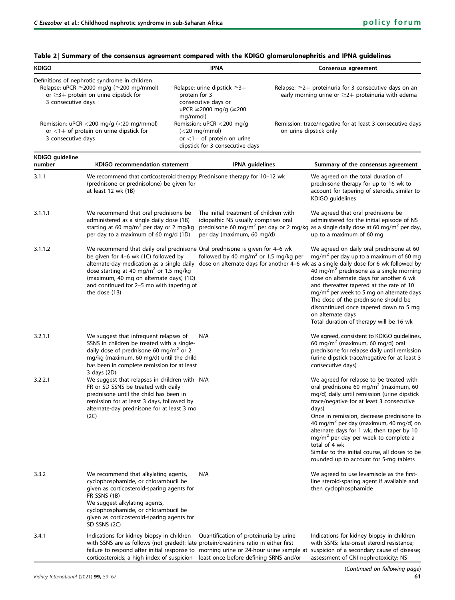| <b>KDIGO</b>                                                                                                                                                              |                                                                                                                                                                                                                                                                                                                                  |                           | <b>IPNA</b>                                                                                                                     |                                                                                                                        | Consensus agreement                                                                                                                                                                                                                                                                                                                                                                                                                                                                                                                   |  |
|---------------------------------------------------------------------------------------------------------------------------------------------------------------------------|----------------------------------------------------------------------------------------------------------------------------------------------------------------------------------------------------------------------------------------------------------------------------------------------------------------------------------|---------------------------|---------------------------------------------------------------------------------------------------------------------------------|------------------------------------------------------------------------------------------------------------------------|---------------------------------------------------------------------------------------------------------------------------------------------------------------------------------------------------------------------------------------------------------------------------------------------------------------------------------------------------------------------------------------------------------------------------------------------------------------------------------------------------------------------------------------|--|
| Definitions of nephrotic syndrome in children<br>Relapse: uPCR $\geq$ 2000 mg/g ( $\geq$ 200 mg/mmol)<br>or $\geq$ 3+ protein on urine dipstick for<br>3 consecutive days |                                                                                                                                                                                                                                                                                                                                  | protein for 3<br>mg/mmol) | Relapse: urine dipstick $\geq 3+$<br>consecutive days or<br>uPCR ≥2000 mg/g (≥200                                               | Relapse: $\geq$ 2+ proteinuria for 3 consecutive days on an<br>early morning urine or $\geq$ 2+ proteinuria with edema |                                                                                                                                                                                                                                                                                                                                                                                                                                                                                                                                       |  |
| 3 consecutive days                                                                                                                                                        | Remission: $\mu$ PCR < 200 mg/g (< 20 mg/mmol)<br>or $<$ 1+ of protein on urine dipstick for                                                                                                                                                                                                                                     |                           | Remission: uPCR <200 mg/g<br>$\left( < 20 \right)$ mg/mmol)<br>or $<$ 1+ of protein on urine<br>dipstick for 3 consecutive days | Remission: trace/negative for at least 3 consecutive days<br>on urine dipstick only                                    |                                                                                                                                                                                                                                                                                                                                                                                                                                                                                                                                       |  |
| KDIGO guideline<br>number                                                                                                                                                 | KDIGO recommendation statement                                                                                                                                                                                                                                                                                                   |                           | <b>IPNA</b> guidelines                                                                                                          |                                                                                                                        | Summary of the consensus agreement                                                                                                                                                                                                                                                                                                                                                                                                                                                                                                    |  |
| 3.1.1                                                                                                                                                                     | We recommend that corticosteroid therapy Prednisone therapy for 10-12 wk<br>(prednisone or prednisolone) be given for<br>at least 12 wk (1B)                                                                                                                                                                                     |                           |                                                                                                                                 |                                                                                                                        | We agreed on the total duration of<br>prednisone therapy for up to 16 wk to<br>account for tapering of steroids, similar to<br>KDIGO guidelines                                                                                                                                                                                                                                                                                                                                                                                       |  |
| 3.1.1.1                                                                                                                                                                   | We recommend that oral prednisone be<br>administered as a single daily dose (1B)<br>starting at 60 mg/m <sup>2</sup> per day or 2 mg/kg<br>per day to a maximum of 60 mg/d (1D)                                                                                                                                                  |                           | The initial treatment of children with<br>idiopathic NS usually comprises oral<br>per day (maximum, 60 mg/d)                    |                                                                                                                        | We agreed that oral prednisone be<br>administered for the initial episode of NS<br>prednisone 60 mg/m <sup>2</sup> per day or 2 mg/kg as a single daily dose at 60 mg/m <sup>2</sup> per day,<br>up to a maximum of 60 mg                                                                                                                                                                                                                                                                                                             |  |
| 3.1.1.2                                                                                                                                                                   | We recommend that daily oral prednisone Oral prednisone is given for 4-6 wk<br>be given for 4-6 wk (1C) followed by<br>alternate-day medication as a single daily<br>dose starting at 40 mg/m <sup>2</sup> or 1.5 mg/kg<br>(maximum, 40 mg on alternate days) (1D)<br>and continued for 2-5 mo with tapering of<br>the dose (1B) |                           | followed by 40 mg/m <sup>2</sup> or 1.5 mg/kg per                                                                               |                                                                                                                        | We agreed on daily oral prednisone at 60<br>$mg/m2$ per day up to a maximum of 60 mg<br>dose on alternate days for another 4–6 wk as a single daily dose for 6 wk followed by<br>40 mg/m <sup>2</sup> prednisone as a single morning<br>dose on alternate days for another 6 wk<br>and thereafter tapered at the rate of 10<br>mg/m <sup>2</sup> per week to 5 mg on alternate days<br>The dose of the prednisone should be<br>discontinued once tapered down to 5 mg<br>on alternate days<br>Total duration of therapy will be 16 wk |  |
| 3.2.1.1                                                                                                                                                                   | We suggest that infrequent relapses of<br>SSNS in children be treated with a single-<br>daily dose of prednisone 60 mg/m <sup>2</sup> or 2<br>mg/kg (maximum, 60 mg/d) until the child<br>has been in complete remission for at least<br>3 days (2D)                                                                             |                           | N/A                                                                                                                             |                                                                                                                        | We agreed, consistent to KDIGO guidelines,<br>60 mg/m <sup>2</sup> (maximum, 60 mg/d) oral<br>prednisone for relapse daily until remission<br>(urine dipstick trace/negative for at least 3<br>consecutive days)                                                                                                                                                                                                                                                                                                                      |  |
| 3.2.2.1                                                                                                                                                                   | We suggest that relapses in children with N/A<br>FR or SD SSNS be treated with daily<br>prednisone until the child has been in<br>remission for at least 3 days, followed by<br>alternate-day prednisone for at least 3 mo<br>(2C)                                                                                               |                           |                                                                                                                                 |                                                                                                                        | We agreed for relapse to be treated with<br>oral prednisone 60 mg/m <sup>2</sup> (maximum, 60<br>mg/d) daily until remission (urine dipstick<br>trace/negative for at least 3 consecutive<br>days)<br>Once in remission, decrease prednisone to<br>40 mg/m <sup>2</sup> per day (maximum, 40 mg/d) on<br>alternate days for 1 wk, then taper by 10<br>$mg/m2$ per day per week to complete a<br>total of 4 wk<br>Similar to the initial course, all doses to be<br>rounded up to account for 5-mg tablets                             |  |
| 3.3.2                                                                                                                                                                     | We recommend that alkylating agents,<br>cyclophosphamide, or chlorambucil be<br>given as corticosteroid-sparing agents for<br>FR SSNS (1B)<br>We suggest alkylating agents,<br>cyclophosphamide, or chlorambucil be<br>given as corticosteroid-sparing agents for<br>SD SSNS (2C)                                                |                           | N/A                                                                                                                             |                                                                                                                        | We agreed to use levamisole as the first-<br>line steroid-sparing agent if available and<br>then cyclophosphamide                                                                                                                                                                                                                                                                                                                                                                                                                     |  |
| 3.4.1                                                                                                                                                                     | Indications for kidney biopsy in children<br>with SSNS are as follows (not graded): late protein/creatinine ratio in either first                                                                                                                                                                                                |                           | Quantification of proteinuria by urine                                                                                          |                                                                                                                        | Indications for kidney biopsy in children<br>with SSNS: late-onset steroid resistance;                                                                                                                                                                                                                                                                                                                                                                                                                                                |  |

# <span id="page-2-0"></span>Table 2 | Summary of the consensus agreement compared with the KDIGO glomerulonephritis and IPNA guidelines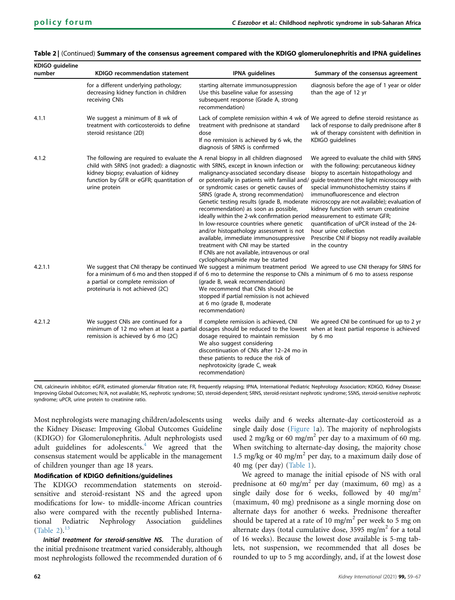| KDIGO guideline<br>number | <b>KDIGO recommendation statement</b>                                                                                                                                                                                                                                         | <b>IPNA</b> guidelines                                                                                                                                                                                                                                                                                                                                                                                                                                                                                    | Summary of the consensus agreement                                                                                                                                                                                                                                                                                                                                                                                                                                                                                                                                                   |
|---------------------------|-------------------------------------------------------------------------------------------------------------------------------------------------------------------------------------------------------------------------------------------------------------------------------|-----------------------------------------------------------------------------------------------------------------------------------------------------------------------------------------------------------------------------------------------------------------------------------------------------------------------------------------------------------------------------------------------------------------------------------------------------------------------------------------------------------|--------------------------------------------------------------------------------------------------------------------------------------------------------------------------------------------------------------------------------------------------------------------------------------------------------------------------------------------------------------------------------------------------------------------------------------------------------------------------------------------------------------------------------------------------------------------------------------|
|                           | for a different underlying pathology;<br>decreasing kidney function in children<br>receiving CNIs                                                                                                                                                                             | starting alternate immunosuppression<br>Use this baseline value for assessing<br>subsequent response (Grade A, strong<br>recommendation)                                                                                                                                                                                                                                                                                                                                                                  | diagnosis before the age of 1 year or older<br>than the age of 12 yr                                                                                                                                                                                                                                                                                                                                                                                                                                                                                                                 |
| 4.1.1                     | We suggest a minimum of 8 wk of<br>treatment with corticosteroids to define<br>steroid resistance (2D)                                                                                                                                                                        | Lack of complete remission within 4 wk of We agreed to define steroid resistance as<br>treatment with prednisone at standard<br>dose<br>If no remission is achieved by 6 wk, the<br>diagnosis of SRNS is confirmed                                                                                                                                                                                                                                                                                        | lack of response to daily prednisone after 8<br>wk of therapy consistent with definition in<br>KDIGO guidelines                                                                                                                                                                                                                                                                                                                                                                                                                                                                      |
| 4.1.2                     | The following are required to evaluate the A renal biopsy in all children diagnosed<br>child with SRNS (not graded): a diagnostic with SRNS, except in known infection or<br>kidney biopsy; evaluation of kidney<br>function by GFR or eGFR; quantitation of<br>urine protein | malignancy-associated secondary disease<br>or syndromic cases or genetic causes of<br>SRNS (grade A, strong recommendation)<br>recommendation) as soon as possible,<br>ideally within the 2-wk confirmation period measurement to estimate GFR;<br>In low-resource countries where genetic<br>and/or histopathology assessment is not<br>available, immediate immunosuppressive<br>treatment with CNI may be started<br>If CNIs are not available, intravenous or oral<br>cyclophosphamide may be started | We agreed to evaluate the child with SRNS<br>with the following: percutaneous kidney<br>biopsy to ascertain histopathology and<br>or potentially in patients with familial and/ guide treatment (the light microscopy with<br>special immunohistochemistry stains if<br>immunofluorescence and electron<br>Genetic testing results (grade B, moderate microscopy are not available); evaluation of<br>kidney function with serum creatinine<br>quantification of uPCR instead of the 24-<br>hour urine collection<br>Prescribe CNI if biopsy not readily available<br>in the country |
| 4.2.1.1                   | a partial or complete remission of<br>proteinuria is not achieved (2C)                                                                                                                                                                                                        | for a minimum of 6 mo and then stopped if of 6 mo to determine the response to CNIs a minimum of 6 mo to assess response<br>(grade B, weak recommendation)<br>We recommend that CNIs should be<br>stopped if partial remission is not achieved<br>at 6 mo (grade B, moderate<br>recommendation)                                                                                                                                                                                                           | We suggest that CNI therapy be continued We suggest a minimum treatment period We agreed to use CNI therapy for SRNS for                                                                                                                                                                                                                                                                                                                                                                                                                                                             |
| 4.2.1.2                   | We suggest CNIs are continued for a<br>remission is achieved by 6 mo (2C)                                                                                                                                                                                                     | If complete remission is achieved, CNI<br>minimum of 12 mo when at least a partial dosages should be reduced to the lowest when at least partial response is achieved<br>dosage required to maintain remission<br>We also suggest considering<br>discontinuation of CNIs after 12-24 mo in<br>these patients to reduce the risk of<br>nephrotoxicity (grade C, weak<br>recommendation)                                                                                                                    | We agreed CNI be continued for up to 2 yr<br>by 6 mo                                                                                                                                                                                                                                                                                                                                                                                                                                                                                                                                 |

# Table 2 | (Continued) Summary of the consensus agreement compared with the KDIGO glomerulonephritis and IPNA guidelines

CNI, calcineurin inhibitor; eGFR, estimated glomerular filtration rate; FR, frequently relapsing; IPNA, International Pediatric Nephrology Association; KDIGO, Kidney Disease: Improving Global Outcomes; N/A, not available; NS, nephrotic syndrome; SD, steroid-dependent; SRNS, steroid-resistant nephrotic syndrome; SSNS, steroid-sensitive nephrotic syndrome; uPCR, urine protein to creatinine ratio.

Most nephrologists were managing children/adolescents using the Kidney Disease: Improving Global Outcomes Guideline (KDIGO) for Glomerulonephritis. Adult nephrologists used adult guidelines for adolescents.<sup>[4](#page-8-7)</sup> We agreed that the consensus statement would be applicable in the management of children younger than age 18 years.

# Modification of KDIGO definitions/guidelines

The KDIGO recommendation statements on steroidsensitive and steroid-resistant NS and the agreed upon modifications for low- to middle-income African countries also were compared with the recently published International Pediatric Nephrology Association guidelines [\(Table 2](#page-2-0)). $^{13}$  $^{13}$  $^{13}$ 

Initial treatment for steroid-sensitive NS. The duration of the initial prednisone treatment varied considerably, although most nephrologists followed the recommended duration of 6 weeks daily and 6 weeks alternate-day corticosteroid as a single daily dose ([Figure 1a](#page-4-0)). The majority of nephrologists used 2 mg/kg or 60 mg/m<sup>2</sup> per day to a maximum of 60 mg. When switching to alternate-day dosing, the majority chose 1.5 mg/kg or 40 mg/m<sup>2</sup> per day, to a maximum daily dose of 40 mg (per day) ([Table 1](#page-1-0)).

We agreed to manage the initial episode of NS with oral prednisone at 60 mg/m<sup>2</sup> per day (maximum, 60 mg) as a single daily dose for 6 weeks, followed by 40 mg/m<sup>2</sup> (maximum, 40 mg) prednisone as a single morning dose on alternate days for another 6 weeks. Prednisone thereafter should be tapered at a rate of 10 mg/m<sup>2</sup> per week to 5 mg on alternate days (total cumulative dose, 3595 mg/m<sup>2</sup> for a total of 16 weeks). Because the lowest dose available is 5-mg tablets, not suspension, we recommended that all doses be rounded to up to 5 mg accordingly, and, if at the lowest dose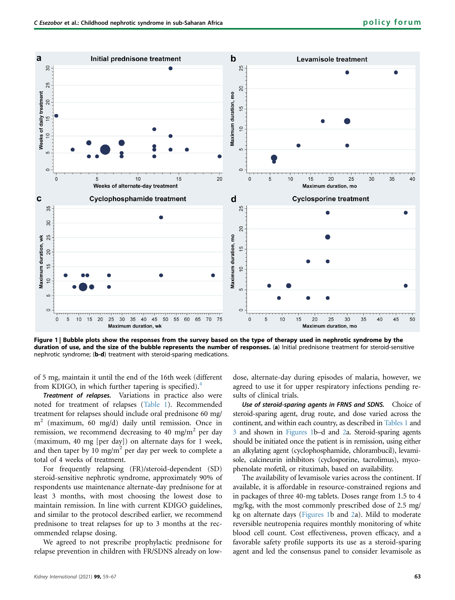<span id="page-4-0"></span>

Figure 1 | Bubble plots show the responses from the survey based on the type of therapy used in nephrotic syndrome by the duration of use, and the size of the bubble represents the number of responses. (a) Initial prednisone treatment for steroid-sensitive nephrotic syndrome; (b-d) treatment with steroid-sparing medications.

of 5 mg, maintain it until the end of the 16th week (different from KDIGO, in which further tapering is specified). $4$ 

Treatment of relapses. Variations in practice also were noted for treatment of relapses [\(Table 1\)](#page-1-0). Recommended treatment for relapses should include oral prednisone 60 mg/ m<sup>2</sup> (maximum, 60 mg/d) daily until remission. Once in remission, we recommend decreasing to 40 mg/m<sup>2</sup> per day (maximum, 40 mg [per day]) on alternate days for 1 week, and then taper by 10 mg/m<sup>2</sup> per day per week to complete a total of 4 weeks of treatment.

For frequently relapsing (FR)/steroid-dependent (SD) steroid-sensitive nephrotic syndrome, approximately 90% of respondents use maintenance alternate-day prednisone for at least 3 months, with most choosing the lowest dose to maintain remission. In line with current KDIGO guidelines, and similar to the protocol described earlier, we recommend prednisone to treat relapses for up to 3 months at the recommended relapse dosing.

We agreed to not prescribe prophylactic prednisone for relapse prevention in children with FR/SDNS already on low-

dose, alternate-day during episodes of malaria, however, we agreed to use it for upper respiratory infections pending results of clinical trials.

Use of steroid-sparing agents in FRNS and SDNS. Choice of steroid-sparing agent, drug route, and dose varied across the continent, and within each country, as described in [Tables 1](#page-1-0) and [3](#page-5-0) and shown in [Figures 1b](#page-4-0)–d and [2](#page-7-1)a. Steroid-sparing agents should be initiated once the patient is in remission, using either an alkylating agent (cyclophosphamide, chlorambucil), levamisole, calcineurin inhibitors (cyclosporine, tacrolimus), mycophenolate mofetil, or rituximab, based on availability.

The availability of levamisole varies across the continent. If available, it is affordable in resource-constrained regions and in packages of three 40-mg tablets. Doses range from 1.5 to 4 mg/kg, with the most commonly prescribed dose of 2.5 mg/ kg on alternate days ([Figures 1](#page-4-0)b and [2](#page-7-1)a). Mild to moderate reversible neutropenia requires monthly monitoring of white blood cell count. Cost effectiveness, proven efficacy, and a favorable safety profile supports its use as a steroid-sparing agent and led the consensus panel to consider levamisole as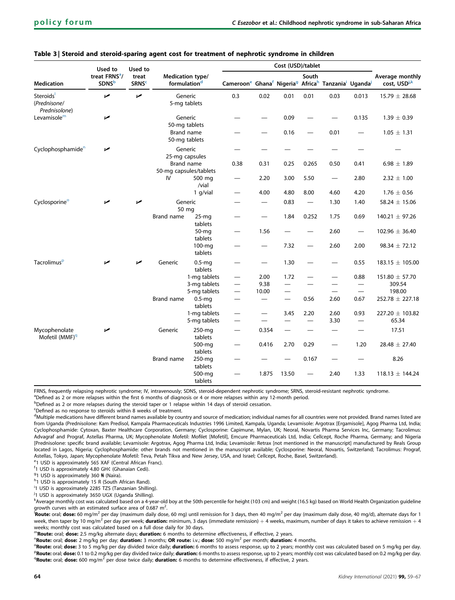|                                             | Used to                                    | Used to                          |                                                                   |                              | Cost (USD)/tablet                                                                       |                          |                          |                          |                          |                                  |                                             |  |
|---------------------------------------------|--------------------------------------------|----------------------------------|-------------------------------------------------------------------|------------------------------|-----------------------------------------------------------------------------------------|--------------------------|--------------------------|--------------------------|--------------------------|----------------------------------|---------------------------------------------|--|
| <b>Medication</b>                           | treat FRNS <sup>a</sup> /<br><b>SDNS</b> b | treat<br><b>SRNS<sup>c</sup></b> | Medication type/<br>formulation <sup>d</sup>                      |                              | Cameroone Ghanaf Nigeria <sup>g</sup> Africah Tanzania <sup>i</sup> Uganda <sup>j</sup> |                          |                          | South                    |                          |                                  | Average monthly<br>cost, USD <sup>j,k</sup> |  |
| Steroids<br>(Prednisone/<br>Prednisolone)   | مما                                        | مما                              |                                                                   | Generic<br>5-mg tablets      | 0.3                                                                                     | 0.02                     | 0.01                     | 0.01                     | 0.03                     | 0.013                            | $15.79 \pm 28.68$                           |  |
| Levamisole <sup>m</sup>                     | مما                                        |                                  | Generic<br>50-mg tablets                                          |                              |                                                                                         |                          | 0.09                     |                          |                          | 0.135                            | $1.39 \pm 0.39$                             |  |
|                                             |                                            |                                  |                                                                   | Brand name<br>50-mg tablets  |                                                                                         |                          | 0.16                     |                          | 0.01                     |                                  | $1.05 \pm 1.31$                             |  |
| Cyclophosphamide <sup>n</sup>               | مما                                        |                                  | Generic<br>25-mg capsules<br>Brand name<br>50-mg capsules/tablets |                              | $\overline{\phantom{0}}$                                                                |                          |                          |                          |                          |                                  |                                             |  |
|                                             |                                            |                                  |                                                                   |                              | 0.38                                                                                    | 0.31                     | 0.25                     | 0.265                    | 0.50                     | 0.41                             | $6.98 \pm 1.89$                             |  |
|                                             |                                            |                                  | IV                                                                | 500 mg<br>/vial              | $\qquad \qquad \longleftarrow$                                                          | 2.20                     | 3.00                     | 5.50                     | —                        | 2.80                             | $2.32 \pm 1.00$                             |  |
|                                             |                                            |                                  |                                                                   | 1 g/vial                     | $\overline{\phantom{0}}$                                                                | 4.00                     | 4.80                     | 8.00                     | 4.60                     | 4.20                             | $1.76 \pm 0.56$                             |  |
| Cyclosporine <sup>o</sup>                   | مما                                        | مما                              | Generic<br>50 mg                                                  |                              |                                                                                         |                          | 0.83                     | $\overline{\phantom{m}}$ | 1.30                     | 1.40                             | 58.24 $\pm$ 15.06                           |  |
|                                             |                                            |                                  | Brand name                                                        | $25-mg$<br>tablets           | $\overline{\phantom{0}}$                                                                | $\overline{\phantom{0}}$ | 1.84                     | 0.252                    | 1.75                     | 0.69                             | $140.21 \pm 97.26$                          |  |
|                                             |                                            |                                  |                                                                   | 50-mg<br>tablets             | $\overline{\phantom{0}}$                                                                | 1.56                     |                          |                          | 2.60                     |                                  | $102.96 \pm 36.40$                          |  |
|                                             |                                            |                                  |                                                                   | 100-mg<br>tablets            | —                                                                                       | —                        | 7.32                     |                          | 2.60                     | 2.00                             | $98.34 \pm 72.12$                           |  |
| Tacrolimus <sup>p</sup>                     | مما                                        | مما                              | Generic                                                           | $0.5$ -mq<br>tablets         | $\overline{\phantom{0}}$                                                                |                          | 1.30                     |                          |                          | 0.55                             | 183.15 ± 105.00                             |  |
|                                             |                                            |                                  |                                                                   | 1-mg tablets                 |                                                                                         | 2.00                     | 1.72                     |                          | $\overline{\phantom{0}}$ | 0.88                             | 151.80 ± 57.70                              |  |
|                                             |                                            |                                  |                                                                   | 3-mg tablets                 | $\overline{\phantom{0}}$                                                                | 9.38                     | $\overline{\phantom{0}}$ |                          | -                        | —                                | 309.54                                      |  |
|                                             |                                            |                                  |                                                                   | 5-mg tablets                 |                                                                                         | 10.00                    | $\overline{\phantom{0}}$ |                          | $\overline{\phantom{0}}$ | $\overline{\phantom{0}}$         | 198.00                                      |  |
|                                             |                                            |                                  | Brand name                                                        | $0.5 - mq$<br>tablets        |                                                                                         | —                        |                          | 0.56                     | 2.60                     | 0.67                             | $252.78 \pm 227.18$                         |  |
|                                             |                                            |                                  |                                                                   | 1-mg tablets<br>5-mg tablets | $\qquad \qquad \longleftarrow$<br>$\overline{\phantom{0}}$                              | $\overline{\phantom{0}}$ | 3.45                     | 2.20                     | 2.60<br>3.30             | 0.93<br>$\overline{\phantom{0}}$ | 227.20 ± 103.82<br>65.34                    |  |
| Mycophenolate<br>Mofetil (MMF) <sup>q</sup> | مما                                        |                                  | Generic                                                           | 250-mg<br>tablets            |                                                                                         | 0.354                    |                          |                          |                          |                                  | 17.51                                       |  |
|                                             |                                            |                                  |                                                                   | 500-mg<br>tablets            | —                                                                                       | 0.416                    | 2.70                     | 0.29                     | $\overline{\phantom{0}}$ | 1.20                             | $28.48 \pm 27.40$                           |  |
|                                             |                                            |                                  | <b>Brand name</b>                                                 | 250-mg<br>tablets            | —                                                                                       |                          |                          | 0.167                    |                          |                                  | 8.26                                        |  |
|                                             |                                            |                                  |                                                                   | 500-mg<br>tablets            |                                                                                         | 1.875                    | 13.50                    |                          | 2.40                     | 1.33                             | $118.13 \pm 144.24$                         |  |

# <span id="page-5-0"></span>Table 3 | Steroid and steroid-sparing agent cost for treatment of nephrotic syndrome in children

FRNS, frequently relapsing nephrotic syndrome; IV, intravenously; SDNS, steroid-dependent nephrotic syndrome: SRNS, steroid-resistant nephrotic syndrome.

<span id="page-5-1"></span><sup>a</sup>Defined as 2 or more relapses within the first 6 months of diagnosis or 4 or more relapses within any 12-month period.

<span id="page-5-2"></span> $b$ Defined as 2 or more relapses during the steroid taper or 1 relapse within 14 days of steroid cessation.

<span id="page-5-3"></span> $C$ Defined as no response to steroids within 8 weeks of treatment.

<span id="page-5-4"></span><sup>d</sup>Multiple medications have different brand names available by country and source of medication; individual names for all countries were not provided. Brand names listed are from Uganda (Prednisolone: Kam Predisol, Kampala Pharmaceuticals Industries 1996 Limited, Kampala, Uganda; Levamisole: Argotrax [Ergamisole], Agog Pharma Ltd, India; Cyclophosphamide: Cytoxan, Baxter Healthcare Corporation, Germany; Cyclosporine: Capimune, Mylan, UK; Neoral, Novartis Pharma Services Inc, Germany; Tacrolimus: Advagraf and Prograf, Astellas Pharma, UK; Mycophenolate Mofetil: Mofilet [Mofetil], Emcure Pharmaceuticals Ltd, India; Cellcept, Roche Pharma, Germany; and Nigeria [Prednisolone: specific brand available; Levamisole: Argotrax, Agog Pharma Ltd, India; Levamisole: Retrax [not mentioned in the manuscript] manufactured by Reals Group located in Lagos, Nigeria; Cyclophosphamide: other brands not mentioned in the manuscript available; Cyclosporine: Neoral, Novartis, Switzerland; Tacrolimus: Prograf, Astellas, Tokyo, Japan; Mycophenolate Mofetil: Teva, Petah Tikva and New Jersey, USA, and Israel; Cellcept, Roche, Basel, Switzerland).

<span id="page-5-7"></span><sup>e</sup>1 USD is approximately 565 XAF (Central African Franc).

<span id="page-5-8"></span><sup>f</sup>1 USD is approximately 4.80 GH¢ (Ghanaian Cedi).

<span id="page-5-9"></span><sup>9</sup>1 USD is approximately 360  $\frac{1}{2}$  (Naira).

<span id="page-5-10"></span>h<sub>1</sub> USD is approximately 15 R (South African Rand).

<span id="page-5-11"></span><sup>i</sup>1 USD is approximately 2285 TZS (Tanzanian Shilling).

<span id="page-5-5"></span><sup>j</sup>1 USD is approximately 3650 UGX (Uganda Shilling).

<span id="page-5-6"></span>k<br>Average monthly cost was calculated based on a 4-year-old boy at the 50th percentile for height (103 cm) and weight (16.5 kg) based on World Health Organization guideline growth curves with an estimated surface area of 0.687 m<sup>2</sup>.<br>Pouter arak docat 60 mg/m<sup>2</sup> par day (maximum daily docs

<span id="page-5-12"></span><sup>1</sup>Route: oral; dose: 60 mg/m<sup>2</sup> per day (maximum daily dose, 60 mg) until remission for 3 days, then 40 mg/m<sup>2</sup> per day (maximum daily dose, 40 mg/d), alternate days for 1 week, then taper by 10 mg/m<sup>2</sup> per day per week; **duration:** minimum, 3 days (immediate remission) + 4 weeks, maximum, number of days it takes to achieve remission + 4 weeks; monthly cost was calculated based on a full dose daily for 30 days.

<span id="page-5-13"></span>mRoute: oral; dose: 2.5 mg/kg alternate days; duration: 6 months to determine effectiveness, if effective, 2 years.

<span id="page-5-14"></span> $\hbox{"Route: oral; dose: 2 mg/kg}$  per day; duration: 3 months; OR route: i.v.; dose: 500 mg/m<sup>2</sup> per month; duration: 4 months.

<span id="page-5-17"></span><span id="page-5-16"></span><span id="page-5-15"></span><sup>o</sup>Route: oral; dose: 3 to 5 mg/kg per day divided twice daily; duration: 6 months to assess response, up to 2 years; monthly cost was calculated based on 5 mg/kg per day. PRoute: oral; dose: 0.1 to 0.2 mg/kg per day divided twice daily; duration: 6 months to assess response, up to 2 years; monthly cost was calculated based on 0.2 mg/kg per day. <sup>q</sup>Route: oral; dose: 600 mg/m<sup>2</sup> per dose twice daily; duration: 6 months to determine effectiveness, if effective, 2 years.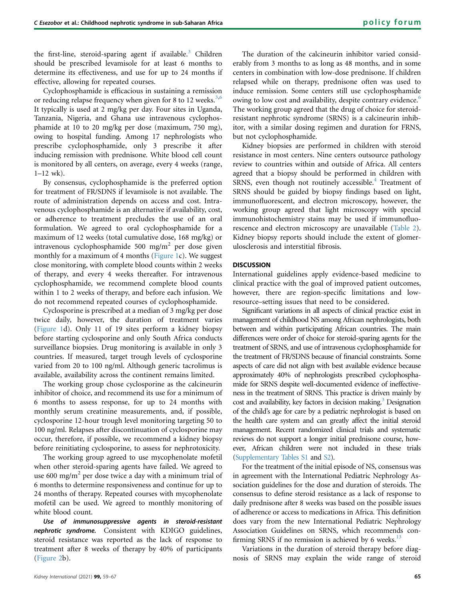the first-line, steroid-sparing agent if available.<sup>[3](#page-8-11)</sup> Children should be prescribed levamisole for at least 6 months to determine its effectiveness, and use for up to 24 months if effective, allowing for repeated courses.

Cyclophosphamide is efficacious in sustaining a remission or reducing relapse frequency when given for 8 to 12 weeks. $3,6$  $3,6$ It typically is used at 2 mg/kg per day. Four sites in Uganda, Tanzania, Nigeria, and Ghana use intravenous cyclophosphamide at 10 to 20 mg/kg per dose (maximum, 750 mg), owing to hospital funding. Among 17 nephrologists who prescribe cyclophosphamide, only 3 prescribe it after inducing remission with prednisone. White blood cell count is monitored by all centers, on average, every 4 weeks (range,  $1-12$  wk).

By consensus, cyclophosphamide is the preferred option for treatment of FR/SDNS if levamisole is not available. The route of administration depends on access and cost. Intravenous cyclophosphamide is an alternative if availability, cost, or adherence to treatment precludes the use of an oral formulation. We agreed to oral cyclophosphamide for a maximum of 12 weeks (total cumulative dose, 168 mg/kg) or intravenous cyclophosphamide 500 mg/m<sup>2</sup> per dose given monthly for a maximum of 4 months [\(Figure 1c](#page-4-0)). We suggest close monitoring, with complete blood counts within 2 weeks of therapy, and every 4 weeks thereafter. For intravenous cyclophosphamide, we recommend complete blood counts within 1 to 2 weeks of therapy, and before each infusion. We do not recommend repeated courses of cyclophosphamide.

Cyclosporine is prescribed at a median of 3 mg/kg per dose twice daily, however, the duration of treatment varies [\(Figure 1d](#page-4-0)). Only 11 of 19 sites perform a kidney biopsy before starting cyclosporine and only South Africa conducts surveillance biopsies. Drug monitoring is available in only 3 countries. If measured, target trough levels of cyclosporine varied from 20 to 100 ng/ml. Although generic tacrolimus is available, availability across the continent remains limited.

The working group chose cyclosporine as the calcineurin inhibitor of choice, and recommend its use for a minimum of 6 months to assess response, for up to 24 months with monthly serum creatinine measurements, and, if possible, cyclosporine 12-hour trough level monitoring targeting 50 to 100 ng/ml. Relapses after discontinuation of cyclosporine may occur, therefore, if possible, we recommend a kidney biopsy before reinitiating cyclosporine, to assess for nephrotoxicity.

The working group agreed to use mycophenolate mofetil when other steroid-sparing agents have failed. We agreed to use 600 mg/m<sup>2</sup> per dose twice a day with a minimum trial of 6 months to determine responsiveness and continue for up to 24 months of therapy. Repeated courses with mycophenolate mofetil can be used. We agreed to monthly monitoring of white blood count.

Use of immunosuppressive agents in steroid-resistant nephrotic syndrome. Consistent with KDIGO guidelines, steroid resistance was reported as the lack of response to treatment after 8 weeks of therapy by 40% of participants [\(Figure 2](#page-7-1)b).

The duration of the calcineurin inhibitor varied considerably from 3 months to as long as 48 months, and in some centers in combination with low-dose prednisone. If children relapsed while on therapy, prednisone often was used to induce remission. Some centers still use cyclophosphamide owing to low cost and availability, despite contrary evidence.<sup>[6](#page-8-3)</sup> The working group agreed that the drug of choice for steroidresistant nephrotic syndrome (SRNS) is a calcineurin inhibitor, with a similar dosing regimen and duration for FRNS, but not cyclophosphamide.

Kidney biopsies are performed in children with steroid resistance in most centers. Nine centers outsource pathology review to countries within and outside of Africa. All centers agreed that a biopsy should be performed in children with SRNS, even though not routinely accessible.<sup>[4](#page-8-7)</sup> Treatment of SRNS should be guided by biopsy findings based on light, immunofluorescent, and electron microscopy, however, the working group agreed that light microscopy with special immunohistochemistry stains may be used if immunofluorescence and electron microscopy are unavailable ([Table 2\)](#page-2-0). Kidney biopsy reports should include the extent of glomerulosclerosis and interstitial fibrosis.

# **DISCUSSION**

International guidelines apply evidence-based medicine to clinical practice with the goal of improved patient outcomes, however, there are region-specific limitations and lowresource–setting issues that need to be considered.

Significant variations in all aspects of clinical practice exist in management of childhood NS among African nephrologists, both between and within participating African countries. The main differences were order of choice for steroid-sparing agents for the treatment of SRNS, and use of intravenous cyclophosphamide for the treatment of FR/SDNS because of financial constraints. Some aspects of care did not align with best available evidence because approximately 40% of nephrologists prescribed cyclophosphamide for SRNS despite well-documented evidence of ineffectiveness in the treatment of SRNS. This practice is driven mainly by cost and availability, key factors in decision making.<sup>3</sup> Designation of the child's age for care by a pediatric nephrologist is based on the health care system and can greatly affect the initial steroid management. Recent randomized clinical trials and systematic reviews do not support a longer initial prednisone course, however, African children were not included in these trials [\(Supplementary Tables S1](#page-8-9) and [S2\)](#page-8-9).

For the treatment of the initial episode of NS, consensus was in agreement with the International Pediatric Nephrology Association guidelines for the dose and duration of steroids. The consensus to define steroid resistance as a lack of response to daily prednisone after 8 weeks was based on the possible issues of adherence or access to medications in Africa. This definition does vary from the new International Pediatric Nephrology Association Guidelines on SRNS, which recommends confirming SRNS if no remission is achieved by 6 weeks. $^{13}$ 

Variations in the duration of steroid therapy before diagnosis of SRNS may explain the wide range of steroid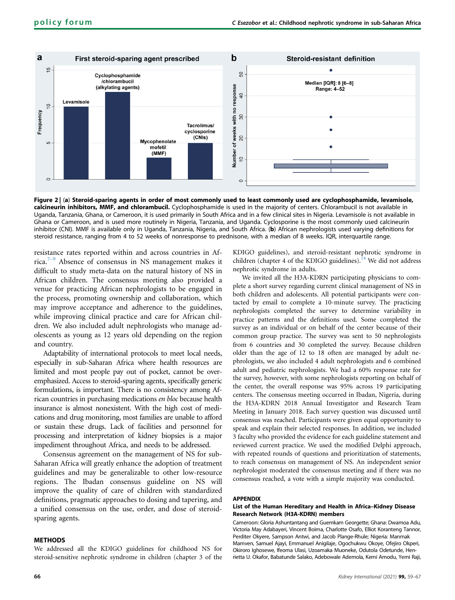<span id="page-7-1"></span>

Figure 2 | (a) Steroid-sparing agents in order of most commonly used to least commonly used are cyclophosphamide, levamisole, calcineurin inhibitors, MMF, and chlorambucil. Cyclophosphamide is used in the majority of centers. Chlorambucil is not available in Uganda, Tanzania, Ghana, or Cameroon, it is used primarily in South Africa and in a few clinical sites in Nigeria. Levamisole is not available in Ghana or Cameroon, and is used more routinely in Nigeria, Tanzania, and Uganda. Cyclosporine is the most commonly used calcineurin inhibitor (CNI). MMF is available only in Uganda, Tanzania, Nigeria, and South Africa. (b) African nephrologists used varying definitions for steroid resistance, ranging from 4 to 52 weeks of nonresponse to prednisone, with a median of 8 weeks. IQR, interquartile range.

resistance rates reported within and across countries in Africa.7[–](#page-8-12)<sup>9</sup> Absence of consensus in NS management makes it difficult to study meta-data on the natural history of NS in African children. The consensus meeting also provided a venue for practicing African nephrologists to be engaged in the process, promoting ownership and collaboration, which may improve acceptance and adherence to the guidelines, while improving clinical practice and care for African children. We also included adult nephrologists who manage adolescents as young as 12 years old depending on the region and country.

Adaptability of international protocols to meet local needs, especially in sub-Saharan Africa where health resources are limited and most people pay out of pocket, cannot be overemphasized. Access to steroid-sparing agents, specifically generic formulations, is important. There is no consistency among African countries in purchasing medications en bloc because health insurance is almost nonexistent. With the high cost of medications and drug monitoring, most families are unable to afford or sustain these drugs. Lack of facilities and personnel for processing and interpretation of kidney biopsies is a major impediment throughout Africa, and needs to be addressed.

Consensus agreement on the management of NS for sub-Saharan Africa will greatly enhance the adoption of treatment guidelines and may be generalizable to other low-resource regions. The Ibadan consensus guideline on NS will improve the quality of care of children with standardized definitions, pragmatic approaches to dosing and tapering, and a unified consensus on the use, order, and dose of steroidsparing agents.

#### **METHODS**

We addressed all the KDIGO guidelines for childhood NS for steroid-sensitive nephrotic syndrome in children (chapter 3 of the KDIGO guidelines), and steroid-resistant nephrotic syndrome in children (chapter 4 of the KDIGO guidelines).<sup>[14](#page-8-13)</sup> We did not address nephrotic syndrome in adults.

We invited all the H3A-KDRN participating physicians to complete a short survey regarding current clinical management of NS in both children and adolescents. All potential participants were contacted by email to complete a 10-minute survey. The practicing nephrologists completed the survey to determine variability in practice patterns and the definitions used. Some completed the survey as an individual or on behalf of the center because of their common group practice. The survey was sent to 50 nephrologists from 6 countries and 30 completed the survey. Because children older than the age of 12 to 18 often are managed by adult nephrologists, we also included 4 adult nephrologists and 6 combined adult and pediatric nephrologists. We had a 60% response rate for the survey, however, with some nephrologists reporting on behalf of the center, the overall response was 95% across 19 participating centers. The consensus meeting occurred in Ibadan, Nigeria, during the H3A-KDRN 2018 Annual Investigator and Research Team Meeting in January 2018. Each survey question was discussed until consensus was reached. Participants were given equal opportunity to speak and explain their selected responses. In addition, we included 3 faculty who provided the evidence for each guideline statement and reviewed current practice. We used the modified Delphi approach, with repeated rounds of questions and prioritization of statements, to reach consensus on management of NS. An independent senior nephrologist moderated the consensus meeting and if there was no consensus reached, a vote with a simple majority was conducted.

#### <span id="page-7-0"></span>APPENDIX

# List of the Human Hereditary and Health in Africa–Kidney Disease Research Network (H3A-KDRN) members

Cameroon: Gloria Ashuntantang and Guemkam Georgette; Ghana: Dwamoa Adu, Victoria May Adabayeri, Vincent Boima, Charlotte Osafo, Elliot Koranteng Tannor, Perditer Okyere, Sampson Antwi, and Jacob Plange-Rhule; Nigeria: Manmak Mamven, Samuel Ajayi, Emmanuel Anigilaje, Ogochukwu Okoye, Ofejiro Okperi, Okiroro Ighosewe, Ifeoma Ulasi, Uzoamaka Muoneke, Odutola Odetunde, Henrietta U. Okafor, Babatunde Salako, Adebowale Ademola, Kemi Amodu, Yemi Raji,